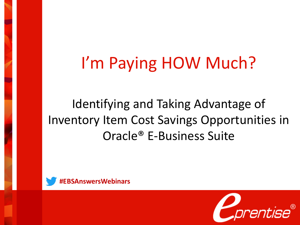# I'm Paying HOW Much?

Identifying and Taking Advantage of Inventory Item Cost Savings Opportunities in Oracle® E-Business Suite



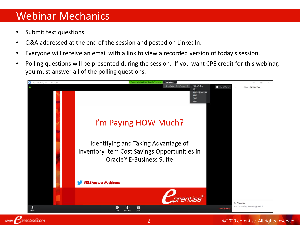#### Webinar Mechanics

Submit text questions.

www.

rentise.com

- Q&A addressed at the end of the session and posted on LinkedIn.
- Everyone will receive an email with a link to view a recorded version of today's session.
- Polling questions will be presented during the session. If you want CPE credit for this webinar, you must answer all of the polling questions.

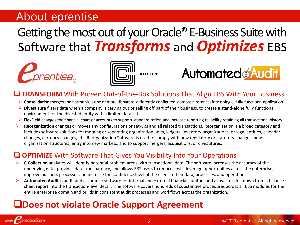#### About eprentise

# Getting the most out of your Oracle® E-Business Suite with Software that *Transforms* and *Optimizes* EBS



www. *Forentise.com* 





#### **TRANSFORM** With Proven Out-of-the-Box Solutions That Align EBS With Your Business

- ➢ **Consolidation**merges and harmonizes one or more disparate, differently-configured, database instances into a single, fully-functional application
- ➢ **Divestiture** filters data when a company is carving out or selling off part of their business, to create a stand-alone fully functional environment for the divested entity with a limited data set
- ➢ **FlexField** changes the financial chart of accounts to support standardization and increase reporting reliability retaining all transactional history
- ➢ **Reorganization** changes or moves any configurations or set-ups and all related transactions. Reorganization is a broad category and includes software solutions for merging or separating organization units, ledgers, inventory organizations, or legal entities, calendar changes, currency changes, etc. Reorganization Software is used to comply with new regulatory or statutory changes, new organization structures, entry into new markets, and to support mergers, acquisitions, or divestitures.

#### ❑ **OPTIMIZE** With Software That Gives You Visibility Into Your Operations

- ➢ **C Collection** analytics will identify potential problem areas with transactional data. The software increases the accuracy of the underlying data, provides data transparency, and allows EBS users to reduce costs, leverage opportunities across the enterprise, improve business processes and increase the confidence level of the users in their data, processes, and operations.
- ➢ **Automated Audit** is audit and assurance software for internal and external financial auditors and allows for drill-down from a balance sheet report into the transaction-level detail. The software covers hundreds of substantive procedures across all EBS modules for the entire enterprise domain and builds in consistent audit processes and workflows across the organization.

#### ❑**Does not violate Oracle Support Agreement**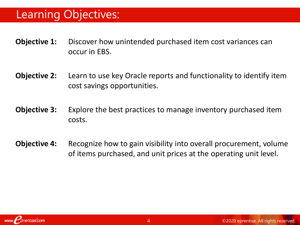### Learning Objectives:

- **Objective 1:** Discover how unintended purchased item cost variances can occur in EBS.
- **Objective 2:** Learn to use key Oracle reports and functionality to identify item cost savings opportunities.
- **Objective 3:** Explore the best practices to manage inventory purchased item costs.
- **Objective 4:** Recognize how to gain visibility into overall procurement, volume of items purchased, and unit prices at the operating unit level.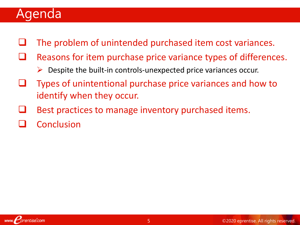## Agenda

- The problem of unintended purchased item cost variances.
- Reasons for item purchase price variance types of differences.
	- $\triangleright$  Despite the built-in controls-unexpected price variances occur.
- ❑ Types of unintentional purchase price variances and how to identify when they occur.
- Best practices to manage inventory purchased items.
- **Conclusion**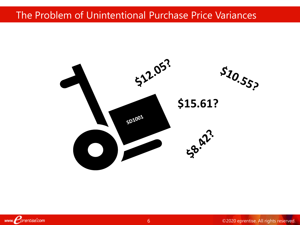#### The Problem of Unintentional Purchase Price Variances

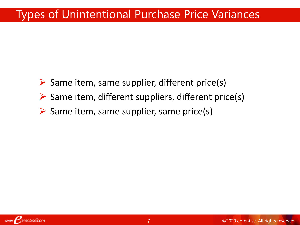## Types of Unintentional Purchase Price Variances

- $\triangleright$  Same item, same supplier, different price(s)
- $\triangleright$  Same item, different suppliers, different price(s)
- $\triangleright$  Same item, same supplier, same price(s)

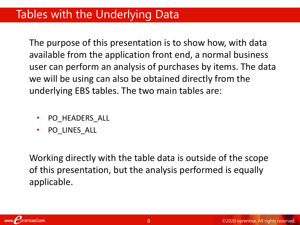### Tables with the Underlying Data

The purpose of this presentation is to show how, with data available from the application front end, a normal business user can perform an analysis of purchases by items. The data we will be using can also be obtained directly from the underlying EBS tables. The two main tables are:

- PO HEADERS ALL
- PO\_LINES\_ALL

Working directly with the table data is outside of the scope of this presentation, but the analysis performed is equally applicable.

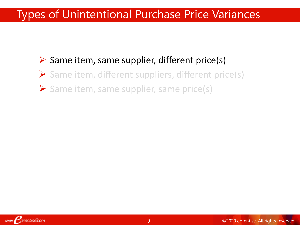## Types of Unintentional Purchase Price Variances

#### $\triangleright$  Same item, same supplier, different price(s)

- ➢ Same item, different suppliers, different price(s)
- ➢ Same item, same supplier, same price(s)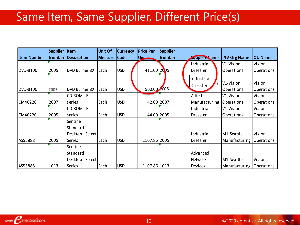# Same Item, Same Supplier, Different Price(s)

|                    | Supplier   Item |                      | <b>Unit Of</b> | <b>Currency</b> | <b>Price Per</b> | <b>Supplier</b> |                      |                          |                |
|--------------------|-----------------|----------------------|----------------|-----------------|------------------|-----------------|----------------------|--------------------------|----------------|
| <b>Item Number</b> |                 | Number Description   | <b>Measure</b> | <b>Code</b>     | Unit             | <b>Number</b>   | <b>Supplier Name</b> | <b>INV Org Name</b>      | <b>OU Name</b> |
|                    |                 |                      |                |                 |                  |                 | Industrial           | V1-Vision                | Vision         |
| DVD-B100           | 2005            | <b>DVD Burner 8X</b> | Each           | <b>USD</b>      | 411.00 2005      |                 | Dressler             | Operations               | Operations     |
|                    |                 |                      |                |                 |                  |                 | Industrial           |                          |                |
|                    |                 |                      |                |                 |                  |                 | Dressler             | V1-Vision                | Vision         |
| <b>DVD-B100</b>    | 2005            | DVD Burner 8X        | <b>I</b> Each  | <b>USD</b>      | 500.00 2005      |                 |                      | Operations               | Operations     |
|                    |                 | CD-ROM - B           |                |                 |                  |                 | Allied               | V1-Vision                | Vision         |
| CM40220            | 2007            | series               | Each           | <b>USD</b>      | 42.00 2007       |                 | Manufacturing        | Operations               | Operations     |
|                    |                 | CD-ROM - B           |                |                 |                  |                 | Industrial           | V1-Vision                | Vision         |
| CM40220            | 2005            | series               | Each           | <b>USD</b>      | 44.00 2005       |                 | Dressler             | Operations               | Operations     |
|                    |                 | Sentinel             |                |                 |                  |                 |                      |                          |                |
|                    |                 | Standard             |                |                 |                  |                 |                      |                          |                |
|                    |                 | Desktop - Select     |                |                 |                  |                 | Industrial           | M1-Seattle               | Vision         |
| AS55888            | 2005            | Series               | Each           | <b>USD</b>      | 1107.86 2005     |                 | Dressler             | Manufacturing            | Operations     |
|                    |                 | Sentinel             |                |                 |                  |                 |                      |                          |                |
|                    |                 | Standard             |                |                 |                  |                 | Advanced             |                          |                |
|                    |                 | Desktop - Select     |                |                 |                  |                 | <b>Network</b>       | M1-Seattle               | Vision         |
| AS55888            | 1013            | Series               | Each           | <b>USD</b>      | 1107.86 1013     |                 | <b>Devices</b>       | Manufacturing Operations |                |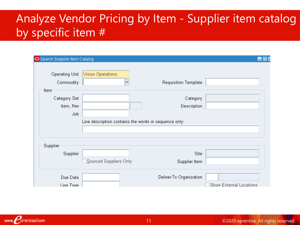## Analyze Vendor Pricing by Item - Supplier item catalog by specific item #

| Search Supplier Item Catalog             |                                                       |                             | 昌回日                     |
|------------------------------------------|-------------------------------------------------------|-----------------------------|-------------------------|
| Operating Unit<br>Commodity              | Vision Operations<br>$\cdots$                         | <b>Requisition Template</b> |                         |
| Item<br>Category Set<br>Item, Rev<br>Job | Line description contains the words in sequence only: | Category<br>Description     |                         |
| Supplier<br>Supplier                     | $\Box$ Sourced Suppliers Only                         | Site<br>Supplier Item       |                         |
| Due Date<br>Line Tyne                    |                                                       | Deliver-To Organization     | Show External Locations |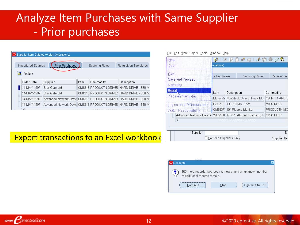## Analyze Item Purchases with Same Supplier - Prior purchases

|   | Supplier Item Catalog (Vision Operations)                                                                    |                                                                      |      |           |                                                |  |  |  |  |  |  |  |
|---|--------------------------------------------------------------------------------------------------------------|----------------------------------------------------------------------|------|-----------|------------------------------------------------|--|--|--|--|--|--|--|
|   |                                                                                                              |                                                                      |      |           |                                                |  |  |  |  |  |  |  |
|   | <b>Prior Purchases</b><br><b>Negotiated Sources</b><br><b>Sourcing Rules</b><br><b>Requisition Templates</b> |                                                                      |      |           |                                                |  |  |  |  |  |  |  |
| ĉ | Default                                                                                                      |                                                                      |      |           |                                                |  |  |  |  |  |  |  |
|   | Order Date                                                                                                   | Supplier                                                             | Item | Commodity | Description                                    |  |  |  |  |  |  |  |
|   | 14-MAY-1997                                                                                                  | Star Gate Ltd                                                        |      |           | CM1313  PRODUCTN.DRIVE\$  HARD  DRIVE - 850 ME |  |  |  |  |  |  |  |
|   | 14-MAY-1997                                                                                                  | Star Gate Ltd                                                        |      |           | CM1313  PRODUCTN.DRIVE\$  HARD DRIVE - 850 ME  |  |  |  |  |  |  |  |
|   | 14-MAY-1997                                                                                                  |                                                                      |      |           |                                                |  |  |  |  |  |  |  |
|   | 14-MAY-1997                                                                                                  | Advanced Network Devid  CM1313  PRODUCTN.DRIVES  HARD DRIVE - 850 ME |      |           |                                                |  |  |  |  |  |  |  |
|   |                                                                                                              |                                                                      |      |           |                                                |  |  |  |  |  |  |  |

#### File Edit View Folder Tools Window Help

| New                                   |                          |             | $\times$ DDPFI $\le$ D                                                     |              |  |  |  |
|---------------------------------------|--------------------------|-------------|----------------------------------------------------------------------------|--------------|--|--|--|
| Open                                  | erations)                |             |                                                                            |              |  |  |  |
| Save<br>Save and Proceed<br>Next Step | or Purchases             |             | Sourcing Rules                                                             | Requisition  |  |  |  |
| Export                                | ltem                     | Description |                                                                            | Commodity    |  |  |  |
| Place on Navigator                    |                          |             | Motor Re NonStock Direct: Truck Mot                                        | MAINTENANC.C |  |  |  |
| Log on as a Different User.           | IS30202                  |             | 1 GB DIMM RAM                                                              | MISC.MISC    |  |  |  |
| Switch Responsibility.                |                          |             | CM6837110" Plasma Monitor                                                  | PRODUCTN.MC  |  |  |  |
| Advanced Network Device:              |                          |             | WD5100 17.75", Almond Cladding, P                                          | MISC.MISC    |  |  |  |
|                                       |                          |             | , , , , , , , , , , , , , , , , ,<br>, , , , , , , , , , , , , , , , , , , |              |  |  |  |
| Supplier                              |                          |             |                                                                            | Sř           |  |  |  |
|                                       | Sourced Suppliers Only ! |             | Supplier Ite                                                               |              |  |  |  |

#### **Export transactions to an Excel workbook**

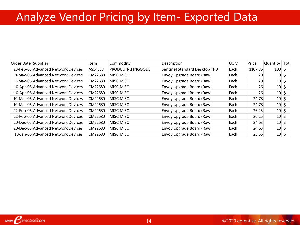# Analyze Vendor Pricing by Item- Exported Data

| Order Date Supplier |                                    | Item    | Commodity         | Description                   | <b>UOM</b> | Price   | Quantity        | Toti |
|---------------------|------------------------------------|---------|-------------------|-------------------------------|------------|---------|-----------------|------|
|                     | 23-Feb-05 Advanced Network Devices | AS54888 | PRODUCTN.FINGOODS | Sentinel Standard Desktop TPD | Each       | 1107.86 | $100 \,$ \$     |      |
|                     | 8-May-06 Advanced Network Devices  | CM22680 | MISC.MISC         | Envoy Upgrade Board (Raw)     | Each       | 20      | $10 \div$       |      |
|                     | 1-May-06 Advanced Network Devices  | CM22680 | MISC.MISC         | Envoy Upgrade Board (Raw)     | Each       | 20      | $10 \div$       |      |
|                     | 10-Apr-06 Advanced Network Devices | CM22680 | MISC.MISC         | Envoy Upgrade Board (Raw)     | Each       | 26      | $10 \div$       |      |
|                     | 10-Apr-06 Advanced Network Devices | CM22680 | MISC.MISC         | Envoy Upgrade Board (Raw)     | Each       | 26      | $10 \mid \zeta$ |      |
|                     | 10-Mar-06 Advanced Network Devices | CM22680 | MISC.MISC         | Envoy Upgrade Board (Raw)     | Each       | 24.78   | $10 \div$       |      |
|                     | 10-Mar-06 Advanced Network Devices | CM22680 | MISC.MISC         | Envoy Upgrade Board (Raw)     | Each       | 24.78   | $10 \div$       |      |
|                     | 22-Feb-06 Advanced Network Devices | CM22680 | MISC.MISC         | Envoy Upgrade Board (Raw)     | Each       | 26.25   | $10 \div$       |      |
|                     | 22-Feb-06 Advanced Network Devices | CM22680 | MISC.MISC         | Envoy Upgrade Board (Raw)     | Each       | 26.25   | $10 \div$       |      |
|                     | 20-Dec-05 Advanced Network Devices | CM22680 | MISC.MISC         | Envoy Upgrade Board (Raw)     | Each       | 24.63   | $10 \div$       |      |
|                     | 20-Dec-05 Advanced Network Devices | CM22680 | MISC.MISC         | Envoy Upgrade Board (Raw)     | Each       | 24.63   | $10 \div$       |      |
|                     | 10-Jan-06 Advanced Network Devices | CM22680 | MISC.MISC         | Envoy Upgrade Board (Raw)     | Each       | 25.55   | $10 \div$       |      |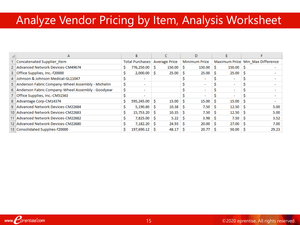# Analyze Vendor Pricing by Item, Analysis Worksheet

| A                                                   |   | B                               |    |                     |  |                          |    |        |    |                                  |
|-----------------------------------------------------|---|---------------------------------|----|---------------------|--|--------------------------|----|--------|----|----------------------------------|
| Concatenated Supplier_Item                          |   | Total Purchases   Average Price |    |                     |  | <b>Minimum Price</b>     |    |        |    | Maximum Price Min Max Difference |
| 2 Advanced Network Devices-CM49674                  |   | 776,250.00 S                    |    | $150.00$ \$         |  | 150.00                   | s  | 150.00 |    |                                  |
| 3 Office Supplies, Inc.-f20000                      |   | $2,000.00$ \$                   |    | $25.00$ \$          |  | 25.00                    |    | 25.00  |    |                                  |
| 4 Johnson & Johnson Medical-GL11047                 |   | $\overline{\phantom{0}}$        |    |                     |  |                          |    |        |    |                                  |
| 5 Anderson Fabric Company-Wheel Assembly - Michelin |   | $\overline{\phantom{0}}$        |    |                     |  |                          |    |        |    |                                  |
| 6 Anderson Fabric Company-Wheel Assembly - Goodyear |   | $\overline{\phantom{0}}$        |    |                     |  | $\overline{\phantom{a}}$ |    | $\sim$ |    |                                  |
| 7 Office Supplies, Inc.-CM51563                     |   | $\overline{\phantom{0}}$        |    |                     |  |                          |    |        |    |                                  |
| 8 Advantage Corp-CM14374                            |   | 595,245.00 \$                   |    | $15.00$ S           |  | 15.00                    |    | 15.00  |    |                                  |
| 9 Advanced Network Devices-CM22684                  |   | $5,190.80$ \$                   |    | $10.38$ \ \$        |  | 7.50                     |    | 12.50  | -S | 5.00                             |
| 10 Advanced Network Devices-CM22683                 |   | $15,753.20$ \$                  |    | $10.35$ \ \$        |  | 7.50                     | -S | 12.50  |    | 5.00                             |
| 11 Advanced Network Devices-CM22682                 |   | $7,825.00$ \$                   |    | $5.22 \, \text{S}$  |  | 3.98                     |    | 7.50   |    | 3.52                             |
| 12 Advanced Network Devices-CM22680                 |   | 7,182.20                        | ΙS | $24.93 \, \text{S}$ |  | 20.00                    | s  | 27.00  |    | 7.00                             |
| 13 Consolidated Supplies-f20000                     | Ś | 197,690.12                      |    | 48.17               |  | 20.77                    |    | 50.00  |    | 29.23                            |
|                                                     |   |                                 |    |                     |  |                          |    |        |    |                                  |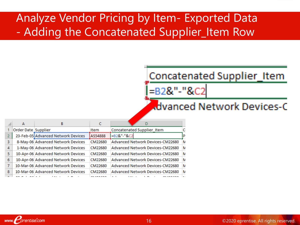## Analyze Vendor Pricing by Item- Exported Data - Adding the Concatenated Supplier\_Item Row

### Concatenated Supplier\_Item =B2&"-"&C2

#### **Advanced Network Devices-C**

|   | А                   |                                    |         |                                  |   |
|---|---------------------|------------------------------------|---------|----------------------------------|---|
|   | Order Date Supplier |                                    | Item    | Concatenated Supplier Item       |   |
|   |                     | 23-Feb-05 Advanced Network Devices | AS54888 | =B2&"-"&C2                       | D |
| 3 |                     | 8-May-06 Advanced Network Devices  | CM22680 | Advanced Network Devices-CM22680 | N |
| 4 |                     | 1-May-06 Advanced Network Devices  | CM22680 | Advanced Network Devices-CM22680 | N |
| 5 |                     | 10-Apr-06 Advanced Network Devices | CM22680 | Advanced Network Devices-CM22680 | Ν |
| 6 |                     | 10-Apr-06 Advanced Network Devices | CM22680 | Advanced Network Devices-CM22680 | N |
|   |                     | 10-Mar-06 Advanced Network Devices | CM22680 | Advanced Network Devices-CM22680 | N |
| 8 |                     | 10-Mar-06 Advanced Network Devices | CM22680 | Advanced Network Devices-CM22680 | N |
|   |                     |                                    |         |                                  |   |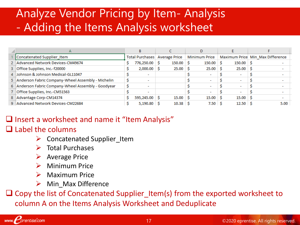## Analyze Vendor Pricing by Item- Analysis - Adding the Items Analysis worksheet

| A                                                   |                                 |                          |  |             |                      |                          |  |                    |  |                                  |
|-----------------------------------------------------|---------------------------------|--------------------------|--|-------------|----------------------|--------------------------|--|--------------------|--|----------------------------------|
| Concatenated Supplier_Item                          | Total Purchases   Average Price |                          |  |             | <b>Minimum Price</b> |                          |  |                    |  | Maximum Price Min Max Difference |
| 2 Advanced Network Devices-CM49674                  |                                 | 776,250.00 \$            |  | $150.00$ \$ |                      | 150.00                   |  | $150.00$ \$        |  |                                  |
| 3 Office Supplies, Inc.-f20000                      |                                 | $2,000.00$ \$            |  | $25.00$ \$  |                      | 25.00                    |  | $25.00$ \$         |  |                                  |
| 4 Johnson & Johnson Medical-GL11047                 |                                 | $\overline{\phantom{a}}$ |  |             |                      |                          |  |                    |  | $\overline{\phantom{a}}$         |
| 5 Anderson Fabric Company-Wheel Assembly - Michelin |                                 | $\overline{\phantom{a}}$ |  |             |                      | $\overline{\phantom{a}}$ |  |                    |  | $\overline{\phantom{a}}$         |
| 6 Anderson Fabric Company-Wheel Assembly - Goodyear |                                 | $\overline{\phantom{a}}$ |  |             |                      | $\overline{\phantom{a}}$ |  |                    |  | $\overline{\phantom{a}}$         |
| 7 Office Supplies, Inc.-CM51563                     |                                 | $\overline{\phantom{a}}$ |  |             |                      |                          |  |                    |  | $\overline{\phantom{a}}$         |
| 8 Advantage Corp-CM14374                            |                                 | 595,245.00 S             |  | $15.00$ S   |                      | 15.00                    |  | 15.00 <sub>5</sub> |  | $\overline{\phantom{a}}$         |
| 9 Advanced Network Devices-CM22684                  |                                 | $5,190.80$ S             |  | 10.38       |                      | 7.50                     |  | 12.50 <sup>5</sup> |  | 5.00                             |

#### ❑ Insert a worksheet and name it "Item Analysis"

#### ❑ Label the columns

- $\triangleright$  Concatenated Supplier Item
- ➢ Total Purchases
- ➢ Average Price
- ➢ Minimum Price
- ➢ Maximum Price
- $\triangleright$  Min Max Difference

❑ Copy the list of Concatenated Supplier\_Item(s) from the exported worksheet to column A on the Items Analysis Worksheet and Deduplicate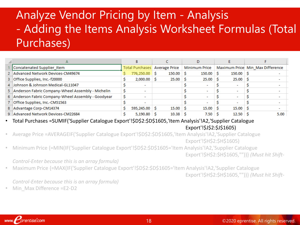## Analyze Vendor Pricing by Item - Analysis - Adding the Items Analysis Worksheet Formulas (Total Purchases)

|                                                     |                               | в                        |  |            |                      |                           |  |                    |  |                                  |  |
|-----------------------------------------------------|-------------------------------|--------------------------|--|------------|----------------------|---------------------------|--|--------------------|--|----------------------------------|--|
| Concatenated Supplier Item                          | Total Purchases Average Price |                          |  |            | <b>Minimum Price</b> |                           |  |                    |  | Maximum Price Min Max Difference |  |
| 2 Advanced Network Devices-CM49674                  |                               | 776,250.00 \$            |  | $150.00$ S |                      | $150.00$ S                |  | $150.00$ \$        |  |                                  |  |
| 3 Office Supplies, Inc.-f20000                      |                               | $2,000.00$ \$            |  | $25.00$ \$ |                      | $25.00$ \$                |  | $25.00$ \$         |  | -                                |  |
| 4 Johnson & Johnson Medical-GL11047                 |                               | $\overline{\phantom{a}}$ |  |            |                      |                           |  |                    |  |                                  |  |
| 5 Anderson Fabric Company-Wheel Assembly - Michelin |                               |                          |  |            |                      | -                         |  |                    |  |                                  |  |
| 6 Anderson Fabric Company-Wheel Assembly - Goodyear |                               |                          |  |            |                      | $\overline{\phantom{a}}$  |  |                    |  | $\overline{\phantom{a}}$         |  |
| 7 Office Supplies, Inc.-CM51563                     |                               | $\overline{\phantom{a}}$ |  |            |                      |                           |  |                    |  | $\overline{\phantom{a}}$         |  |
| 8 Advantage Corp-CM14374                            |                               | 595,245.00 S             |  | $15.00$ \$ |                      | $15.00 \, \text{S}$       |  | $15.00$ \$         |  |                                  |  |
| 9 Advanced Network Devices-CM22684                  |                               | $5,190.80$ \$            |  | $10.38$ \$ |                      | $7.50 \, \pm \, \text{S}$ |  | 12.50 <sup>5</sup> |  | 5.00                             |  |

• Total Purchases =SUMIF('Supplier Catalogue Export'!\$D\$2:\$D\$1605,'Item Analysis'!A2,'Supplier Catalogue Export'!\$J\$2:\$J\$1605)

• Average Price =AVERAGEIF('Supplier Catalogue Export'!\$D\$2:\$D\$1605,'Item Analysis'!A2,'Supplier Catalogue Export'!\$H\$2:\$H\$1605)

• Minimum Price {=MIN(IF('Supplier Catalogue Export'!\$D\$2:\$D\$1605='Item Analysis'!A2,'Supplier Catalogue Export'!\$H\$2:\$H\$1605,""))} *(Must hit Shift-*

*Control-Enter because this is an array formula)*

• Maximum Price {=MAX(IF('Supplier Catalogue Export'!\$D\$2:\$D\$1605='Item Analysis'!A2,'Supplier Catalogue

Export'!\$H\$2:\$H\$1605,""))} *(Must hit Shift-*

*Control-Enter because this is an array formula)*

• Min Max Difference =E2-D2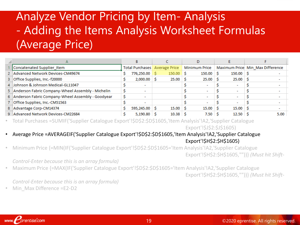## Analyze Vendor Pricing by Item- Analysis - Adding the Items Analysis Worksheet Formulas (Average Price)

|                                                     | B                             |  |                    |  |                          |  |                        |  |                                  |
|-----------------------------------------------------|-------------------------------|--|--------------------|--|--------------------------|--|------------------------|--|----------------------------------|
| Concatenated Supplier_Item                          | Total Purchases Average Price |  |                    |  | <b>Minimum Price</b>     |  |                        |  | Maximum Price Min Max Difference |
| 2 Advanced Network Devices-CM49674                  | 776,250.00 \$                 |  | $150.00$ \$        |  | 150.00                   |  | $150.00$ \$            |  |                                  |
| 3 Office Supplies, Inc.-f20000                      | $2,000.00$ \$                 |  | $25.00$ \$         |  | $25.00$ \$               |  | $25.00$ S              |  | $\overline{\phantom{0}}$         |
| 4 Johnson & Johnson Medical-GL11047                 | $\overline{\phantom{a}}$      |  |                    |  |                          |  |                        |  | $\overline{\phantom{0}}$         |
| 5 Anderson Fabric Company-Wheel Assembly - Michelin |                               |  |                    |  | $\overline{\phantom{a}}$ |  | -                      |  |                                  |
| 6 Anderson Fabric Company-Wheel Assembly - Goodyear | $\overline{\phantom{a}}$      |  |                    |  | $\overline{\phantom{a}}$ |  |                        |  | $\overline{\phantom{a}}$         |
| 7 Office Supplies, Inc.-CM51563                     | $\overline{\phantom{a}}$      |  |                    |  |                          |  |                        |  |                                  |
| 8 Advantage Corp-CM14374                            | 595,245.00 S                  |  | $15.00$ S          |  | $15.00 \, \vert \,$ \$   |  | $15.00 \, \vert \,$ \$ |  | $\overline{\phantom{a}}$         |
| 9 Advanced Network Devices-CM22684                  | $5,190.80$ S                  |  | 10.38 <sup>5</sup> |  | $7.50$ $\sqrt{S}$        |  | 12.50 <sub>5</sub>     |  | 5.00                             |

• Total Purchases =SUMIF('Supplier Catalogue Export'!\$D\$2:\$D\$1605,'Item Analysis'!A2,'Supplier Catalogue

Export'!\$J\$2:\$J\$1605)

#### • Average Price =AVERAGEIF('Supplier Catalogue Export'!\$D\$2:\$D\$1605,'Item Analysis'!A2,'Supplier Catalogue Export'!\$H\$2:\$H\$1605)

• Minimum Price {=MIN(IF('Supplier Catalogue Export'!\$D\$2:\$D\$1605='Item Analysis'!A2,'Supplier Catalogue Export'!\$H\$2:\$H\$1605,""))} *(Must hit Shift-*

*Control-Enter because this is an array formula)*

• Maximum Price {=MAX(IF('Supplier Catalogue Export'!\$D\$2:\$D\$1605='Item Analysis'!A2,'Supplier Catalogue

Export'!\$H\$2:\$H\$1605,""))} *(Must hit Shift-*

*Control-Enter because this is an array formula)*

• Min Max Difference =E2-D2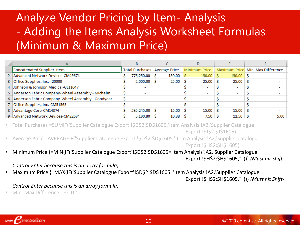## Analyze Vendor Pricing by Item- Analysis - Adding the Items Analysis Worksheet Formulas (Minimum & Maximum Price)

|                                                     | B                             |                          |  |                    |               |                    |  |                        |                                  |
|-----------------------------------------------------|-------------------------------|--------------------------|--|--------------------|---------------|--------------------|--|------------------------|----------------------------------|
| Concatenated Supplier Item                          | Total Purchases Average Price |                          |  |                    | Minimum Price |                    |  |                        | Maximum Price Min Max Difference |
| 2 Advanced Network Devices-CM49674                  |                               | 776,250.00 S             |  | $150.00$ S         |               | $150.00$ \$        |  | $150.00$ \$            |                                  |
| 3 Office Supplies, Inc.-f20000                      |                               | $2,000.00$ \$            |  | $25.00$ S          |               | 25.00 <sup>5</sup> |  | $25.00$ S              | $\overline{\phantom{a}}$         |
| 4 Johnson & Johnson Medical-GL11047                 |                               | $\overline{\phantom{a}}$ |  |                    |               |                    |  |                        | $\overline{\phantom{a}}$         |
| 5 Anderson Fabric Company-Wheel Assembly - Michelin |                               |                          |  |                    |               |                    |  |                        |                                  |
| 6 Anderson Fabric Company-Wheel Assembly - Goodyear |                               |                          |  |                    |               |                    |  |                        | $\overline{\phantom{a}}$         |
| 7 Office Supplies, Inc.-CM51563                     |                               |                          |  |                    |               |                    |  |                        | $\overline{\phantom{a}}$         |
| 8 Advantage Corp-CM14374                            |                               | 595,245.00 S             |  | $15.00$ $\sqrt{5}$ |               | $15.00$ S          |  | $15.00 \, \vert \,$ \$ | $\overline{\phantom{a}}$         |
| 9 Advanced Network Devices-CM22684                  |                               | $5,190.80$ \ \$          |  | 10.38 <sup>5</sup> |               | 7.50               |  | 12.50 <sup>5</sup>     | 5.00                             |

• Total Purchases =SUMIF('Supplier Catalogue Export'!\$D\$2:\$D\$1605,'Item Analysis'!A2,'Supplier Catalogue Export'!\$J\$2:\$J\$1605)

• Average Price =AVERAGEIF('Supplier Catalogue Export'!\$D\$2:\$D\$1605,'Item Analysis'!A2,'Supplier Catalogue

Export'!\$H\$2:\$H\$1605)

• Minimum Price {=MIN(IF('Supplier Catalogue Export'!\$D\$2:\$D\$1605='Item Analysis'!A2,'Supplier Catalogue Export'!\$H\$2:\$H\$1605,""))} *(Must hit Shift-*

#### *Control-Enter because this is an array formula)*

• Maximum Price {=MAX(IF('Supplier Catalogue Export'!\$D\$2:\$D\$1605='Item Analysis'!A2,'Supplier Catalogue

Export'!\$H\$2:\$H\$1605,""))} *(Must hit Shift-*

#### *Control-Enter because this is an array formula)*

Min Max Difference =E2-D2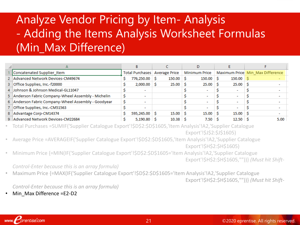## Analyze Vendor Pricing by Item- Analysis - Adding the Items Analysis Worksheet Formulas (Min\_Max Difference)

|                                                     |                                 | B                        |  |            |  |                        |  |                    |  |                                  |  |
|-----------------------------------------------------|---------------------------------|--------------------------|--|------------|--|------------------------|--|--------------------|--|----------------------------------|--|
| Concatenated Supplier Item                          | Total Purchases   Average Price |                          |  |            |  | <b>Minimum Price</b>   |  |                    |  | Maximum Price Min Max Difference |  |
| 2 Advanced Network Devices-CM49674                  |                                 | 776,250.00 \$            |  | $150.00$ S |  | $150.00$ S             |  | $150.00$ \$        |  | $\overline{\phantom{0}}$         |  |
| 3 Office Supplies, Inc.-f20000                      |                                 | $2,000.00$ \$            |  | $25.00$ \$ |  | 25.00 <sup>5</sup>     |  | $25.00$ S          |  | $\overline{\phantom{a}}$         |  |
| 4 Johnson & Johnson Medical-GL11047                 |                                 |                          |  |            |  |                        |  |                    |  |                                  |  |
| 5 Anderson Fabric Company-Wheel Assembly - Michelin |                                 |                          |  |            |  | ۰                      |  |                    |  | $\overline{\phantom{a}}$         |  |
| 6 Anderson Fabric Company-Wheel Assembly - Goodyear |                                 |                          |  |            |  | ۰                      |  |                    |  | $\overline{\phantom{a}}$         |  |
| 7 Office Supplies, Inc.-CM51563                     |                                 | $\overline{\phantom{a}}$ |  |            |  | ۰                      |  | -                  |  | $\overline{\phantom{a}}$         |  |
| 8 Advantage Corp-CM14374                            |                                 | 595,245.00 \$            |  | 15.00%     |  | $15.00 \, \vert \,$ \$ |  | $15.00$ \$         |  |                                  |  |
| 9 Advanced Network Devices-CM22684                  |                                 | $5,190.80$ \ \$          |  | 10.38      |  | $7.50 \, \vert \,$ \$  |  | 12.50 <sup>5</sup> |  | 5.00                             |  |

• Total Purchases =SUMIF('Supplier Catalogue Export'!\$D\$2:\$D\$1605,'Item Analysis'!A2,'Supplier Catalogue Export'!\$J\$2:\$J\$1605)

- Average Price =AVERAGEIF('Supplier Catalogue Export'!\$D\$2:\$D\$1605,'Item Analysis'!A2,'Supplier Catalogue Export'!\$H\$2:\$H\$1605)
- Minimum Price {=MIN(IF('Supplier Catalogue Export'!\$D\$2:\$D\$1605='Item Analysis'!A2,'Supplier Catalogue Export'!\$H\$2:\$H\$1605,""))} *(Must hit Shift-*

*Control-Enter because this is an array formula)*

• Maximum Price {=MAX(IF('Supplier Catalogue Export'!\$D\$2:\$D\$1605='Item Analysis'!A2,'Supplier Catalogue Export'!\$H\$2:\$H\$1605,""))} *(Must hit Shift-*

*Control-Enter because this is an array formula)*

Min Max Difference =E2-D2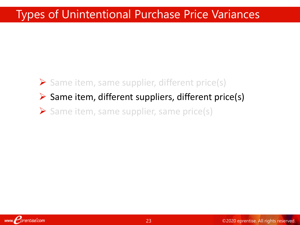## Types of Unintentional Purchase Price Variances

# ➢ Same item, same supplier, different price(s)  $\triangleright$  Same item, different suppliers, different price(s)

➢ Same item, same supplier, same price(s)

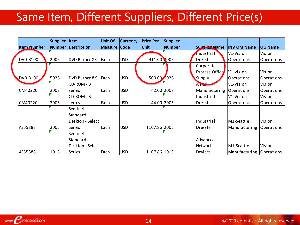## Same Item, Different Suppliers, Different Price(s)

|                    | <b>Supplier</b> | Item                 | Unit Of        | <b>Currency</b> | <b>Price Per</b> | <b>Supplier</b> |                |                          |                |
|--------------------|-----------------|----------------------|----------------|-----------------|------------------|-----------------|----------------|--------------------------|----------------|
| <b>Item Number</b> | Number          | Description          | <b>Measure</b> | <b>Code</b>     | <b>Unit</b>      | Number          | Supplier Name  | <b>INV Org Name</b>      | <b>OU Name</b> |
|                    |                 |                      |                |                 |                  |                 | Industrial     | V <sub>1</sub> -Vision   | Vision         |
| DVD-B100           | 2005            | <b>DVD Burner 8X</b> | Each           | <b>USD</b>      | 411.00 005       |                 | Dressler       | Operations               | Operations     |
|                    |                 |                      |                |                 |                  |                 | Corporate      |                          |                |
|                    |                 |                      |                |                 |                  |                 | Express Office | V <sub>1</sub> -Vision   | Vision         |
| DVD-B100           | 5028            | <b>DVD Burner 8X</b> | <b>Each</b>    | <b>USD</b>      | 500.00 5028      |                 | Supply         | Operations               | Operations     |
|                    |                 | CD-ROM - B           |                |                 |                  |                 | Allred         | V1-Vision                | Vision         |
| CM40220            | 2007            | series               | Each           | <b>USD</b>      | 42.00 2007       |                 | Manufacturing  | Operations               | Operations     |
|                    |                 | CD-ROM - B           |                |                 |                  |                 | Industrial     | V1-Vision                | Vision         |
| CM40220            | 2005            | series               | Each           | <b>USD</b>      | 44.00 2005       |                 | Dressler       | Operations               | Operations     |
|                    |                 | Sentinel             |                |                 |                  |                 |                |                          |                |
|                    |                 | Standard             |                |                 |                  |                 |                |                          |                |
|                    |                 | Desktop - Select     |                |                 |                  |                 | Industrial     | M1-Seattle               | Vision         |
| AS55888            | 2005            | Series               | Each           | <b>USD</b>      | 1107.86 2005     |                 | Dressler       | Manufacturing            | Operations     |
|                    |                 | Sentinel             |                |                 |                  |                 |                |                          |                |
|                    |                 | Standard             |                |                 |                  |                 | Advanced       |                          |                |
|                    |                 | Desktop - Select     |                |                 |                  |                 | Network        | M1-Seattle               | Vision         |
| AS55888            | 1013            | Series               | Each           | <b>USD</b>      | 1107.86 1013     |                 | Devices        | Manufacturing Operations |                |

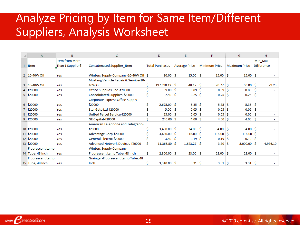## Analyze Pricing by Item for Same Item/Different Suppliers, Analysis Worksheet

|    | B<br>A<br>C.                    |                       | D                                      | E                       | F                     | G.                   | H.                    |                   |  |
|----|---------------------------------|-----------------------|----------------------------------------|-------------------------|-----------------------|----------------------|-----------------------|-------------------|--|
|    |                                 | <b>Item from More</b> |                                        |                         |                       |                      |                       | Min Max           |  |
|    | <b>Item</b><br>Than 1 Supplier? |                       | Concatenated Supplier Item             | <b>Total Purchases</b>  | <b>Average Price</b>  | <b>Minimum Price</b> | <b>Maximum Price</b>  | <b>Difference</b> |  |
|    |                                 |                       |                                        |                         |                       |                      |                       |                   |  |
|    | 2 10-40W Oil                    | Yes                   | Winters Supply Company-10-40W Oil   \$ | $30.00$ \$              | $15.00$ \$            | 15.00 <sup>5</sup>   | $15.00$ S             |                   |  |
|    |                                 |                       | Mustang Vehicle Repair & Service-10-   |                         |                       |                      |                       |                   |  |
|    | 3 10-40W Oil                    | Yes                   | 40W Oil                                | $197,690.12$ \$         | 48.17 <sup>5</sup>    | $20.77$ \$           | $50.00$ \$            | 29.23             |  |
|    | 4 f20000                        | Yes                   | Office Supplies, Inc.-f20000           | Ś<br>$89.00$ \$         | $0.89$ \ \$           | $0.89$ \ \$          | 0.89                  | -S                |  |
|    | 5   f20000                      | Yes                   | Consolidated Supplies-f20000           | \$<br>$7.50$ $\pm$      | $0.25$ \$             | $0.25$ \$            | $0.25$ \$             |                   |  |
|    |                                 |                       | Corporate Express Office Supply-       |                         |                       |                      |                       |                   |  |
| 6. | f20000                          | Yes                   | f20000                                 | Ś<br>$2,675.00$ \$      | $5.35 \, \hat{S}$     | $5.35$ $\pm$         | $5.35$ $\pm$          |                   |  |
|    | f20000                          | Yes                   | Star Gate Ltd-f20000                   | Ś<br>$5.00$ $\sqrt{5}$  | $0.05 \, \, S$        | $0.05$   \$          | 0.05                  | -S                |  |
|    | 8 f20000                        | Yes                   | United Parcel Service-f20000           | \$<br>$25.00$ \$        | $0.05 \, \vert \,$ \$ | $0.05 \,   \,$ \$    | 0.05                  | -S                |  |
|    | 9 f20000                        | Yes                   | GE Capital-f20000                      | Ś<br>$240.00$ \ \$      | $4.00 \, \text{S}$    | $4.00 \, \text{S}$   | $4.00$ S              |                   |  |
|    |                                 |                       | American Telephone and Telegraph-      |                         |                       |                      |                       |                   |  |
|    | 10 f20000                       | Yes                   | f20000                                 | $3,400.00$ \$<br>\$     | $34.00$ \$            | $34.00$ \$           | 34.00 <sup>5</sup>    |                   |  |
|    | 11 f20000                       | Yes                   | Advantage Corp-f20000                  | Ś<br>$3,480.00$ \$      | $116.00$ \$           | $116.00$ S           | $116.00$ \$           |                   |  |
|    | 12 f20000                       | Yes                   | General Electric-f20000                | \$<br>$3.80$ $\sqrt{5}$ | $0.19$ S              | $0.19$ S             | 0.19                  | -Ŝ                |  |
|    | 13 f20000                       | Yes                   | Advanced Network Devices-f20000        | Ś<br>$11,366.80$ \$     | $1,623.27$ \$         | $3.90$ $\sqrt{5}$    | $5,000.00$ \$         | 4,996.10          |  |
|    | <b>Fluorescent Lamp</b>         |                       | <b>Winters Supply Company-</b>         |                         |                       |                      |                       |                   |  |
|    | 14 Tube, 48 Inch                | Yes                   | Fluorescent Lamp Tube, 48 Inch         | Ŝ.<br>$2,300.00$ \ \$   | $23.00$ \$            | $23.00$ \$           | $23.00$ \$            |                   |  |
|    | Fluorescent Lamp                |                       | Grainger-Fluorescent Lamp Tube, 48     |                         |                       |                      |                       |                   |  |
|    | 15 Tube, 48 Inch                | Yes                   | <b>Inch</b>                            | Ŝ<br>$3,310.00$ \$      | $3.31 \, \text{S}$    | $3.31 \, \text{S}$   | $3.31 \, \vert \,$ \$ |                   |  |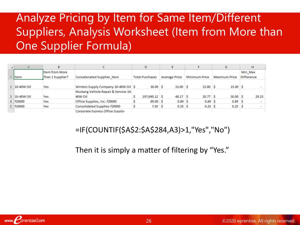## Analyze Pricing by Item for Same Item/Different Suppliers, Analysis Worksheet (Item from More than One Supplier Formula)

| A                     | B                |                                                 | D.                     |                      |                      | G                    | н                 |
|-----------------------|------------------|-------------------------------------------------|------------------------|----------------------|----------------------|----------------------|-------------------|
|                       | litem from More  |                                                 |                        |                      |                      |                      | Min Max           |
| <b>Iltem</b>          | Than 1 Supplier? | Concatenated Supplier Item                      | <b>Total Purchases</b> | <b>Average Price</b> | <b>Minimum Price</b> | <b>Maximum Price</b> | <b>Difference</b> |
| $2 \mid 10 - 40W$ Oil | Yes              | Winters Supply Company-10-40W Oil \$            | $30.00$ $\sqrt{5}$     | $15.00$ \$           | $15.00$ \$           | $15.00$ \$           |                   |
| 3 10-40W Oil          | Yes              | Mustang Vehicle Repair & Service-10-<br>40W Oil | $197,690.12$ \$        | $48.17\degree$ \$    | $20.77$ \$           | $50.00$ \$           | 29.23             |
| 4 f20000              | Yes              | Office Supplies, Inc.-f20000                    | $89.00$ \$             | $0.89$ \$            | $0.89$ $\vert$ \$    | $0.89$ $\sqrt{5}$    |                   |
| 5 f20000              | Yes              | Consolidated Supplies-f20000                    | $7.50$ \$              | $0.25$ \$            | $0.25$ \$            | $0.25$ \$            |                   |
|                       |                  | Corporate Express Office Supply-                |                        |                      |                      |                      |                   |

#### =IF(COUNTIF(\$A\$2:\$A\$284,A3)>1,"Yes","No")

Then it is simply a matter of filtering by "Yes."

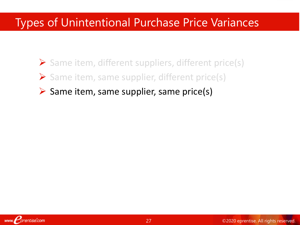## Types of Unintentional Purchase Price Variances

- ➢ Same item, different suppliers, different price(s) ➢ Same item, same supplier, different price(s)
- $\triangleright$  Same item, same supplier, same price(s)

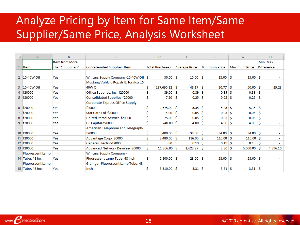## Analyze Pricing by Item for Same Item/Same Supplier/Same Price, Analysis Worksheet

|    | А                       | R<br>C           |                                        | D  |                        | E  |                      | F |                       | G |                       | н   |                   |
|----|-------------------------|------------------|----------------------------------------|----|------------------------|----|----------------------|---|-----------------------|---|-----------------------|-----|-------------------|
|    |                         | Item from More   |                                        |    |                        |    |                      |   |                       |   |                       |     | Min Max           |
|    | <b>Item</b>             | Than 1 Supplier? | Concatenated Supplier Item             |    | <b>Total Purchases</b> |    | <b>Average Price</b> |   | <b>Minimum Price</b>  |   | <b>Maximum Price</b>  |     | <b>Difference</b> |
|    |                         |                  |                                        |    |                        |    |                      |   |                       |   |                       |     |                   |
|    | 2 10-40W Oil            | Yes              | Winters Supply Company-10-40W Oil   \$ |    | $30.00$ $\sqrt{5}$     |    | $15.00$ \$           |   | $15.00$ \$            |   | $15.00$ \$            |     |                   |
|    |                         |                  | Mustang Vehicle Repair & Service-10-   |    |                        |    |                      |   |                       |   |                       |     |                   |
|    | 3 10-40W Oil            | Yes              | 40W Oil                                |    | $197,690.12$ \$        |    | 48.17 <sup>5</sup>   |   | $20.77$ \$            |   | $50.00$ \$            |     | 29.23             |
|    | 4   f20000              | Yes              | Office Supplies, Inc.-f20000           | Ś  | $89.00$ \$             |    | $0.89$ $\vert$ \$    |   | $0.89$ \$             |   | 0.89                  | s.  |                   |
|    | 5   f20000              | Yes              | Consolidated Supplies-f20000           | \$ | 7.50 <sub>5</sub>      |    | $0.25$ $\sqrt{5}$    |   | $0.25$ \$             |   | $0.25$ \$             |     |                   |
|    |                         |                  | Corporate Express Office Supply-       |    |                        |    |                      |   |                       |   |                       |     |                   |
| 6. | f20000                  | Yes              | f20000                                 | \$ | $2,675.00$ \$          |    | $5.35 \, \text{S}$   |   | $5.35 \, \text{S}$    |   | $5.35$ \$             |     |                   |
|    | 7   f20000              | Yes              | Star Gate Ltd-f20000                   | Ś  | 5.00                   | -S | $0.05$ \$            |   | $0.05$ \$             |   | 0.05                  |     |                   |
| 8  | f20000                  | Yes              | United Parcel Service-f20000           | Ś  | $25.00$ \$             |    | $0.05 \, \, S$       |   | $0.05$ $\vert$ \$     |   | 0.05                  | ∣\$ |                   |
| 9. | f20000                  | Yes              | GE Capital-f20000                      | Ś  | $240.00$ \$            |    | $4.00 \, \text{S}$   |   | 4.00 <sup>3</sup>     |   | $4.00$ \$             |     |                   |
|    |                         |                  | American Telephone and Telegraph-      |    |                        |    |                      |   |                       |   |                       |     |                   |
|    | 10 f20000               | Yes              | f20000                                 | Ś  | $3,400.00$ \$          |    | $34.00$ \$           |   | $34.00$ \$            |   | $34.00$ \$            |     |                   |
|    | 11 f20000               | Yes              | Advantage Corp-f20000                  | Ś  | $3,480.00$ \$          |    | $116.00$ \$          |   | $116.00$ \$           |   | $116.00$ \$           |     |                   |
|    | 12 f20000               | Yes              | General Electric-f20000                |    | 3.80 <sub>5</sub>      |    | $0.19$ \ S           |   | $0.19$ \$             |   | 0.19                  | S   |                   |
|    | 13 f20000               | Yes              | Advanced Network Devices-f20000        | Ś  | $11,366.80$ \$         |    | $1,623.27$ \$        |   | $3.90 \, \text{S}$    |   | $5,000.00$ $\sqrt{5}$ |     | 4,996.10          |
|    | <b>Fluorescent Lamp</b> |                  | Winters Supply Company-                |    |                        |    |                      |   |                       |   |                       |     |                   |
|    | 14 Tube, 48 Inch        | Yes              | Fluorescent Lamp Tube, 48 Inch         | Ŝ  | $2,300.00$ \ \$        |    | $23.00$ \$           |   | $23.00$ \$            |   | $23.00$ \$            |     |                   |
|    | <b>Fluorescent Lamp</b> |                  | Grainger-Fluorescent Lamp Tube, 48     |    |                        |    |                      |   |                       |   |                       |     |                   |
|    | 15 Tube, 48 Inch        | Yes              | Inch                                   | Ś  | $3,310.00$ \$          |    | $3.31 \, \text{S}$   |   | $3.31 \, \vert \,$ \$ |   | $3.31 \, \vert \,$ \$ |     |                   |
|    |                         |                  |                                        |    |                        |    |                      |   |                       |   |                       |     |                   |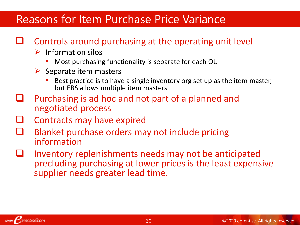### Reasons for Item Purchase Price Variance

#### ❑ Controls around purchasing at the operating unit level

- $\triangleright$  Information silos
	- Most purchasing functionality is separate for each OU
- $\triangleright$  Separate item masters
	- Best practice is to have a single inventory org set up as the item master, but EBS allows multiple item masters
- ❑ Purchasing is ad hoc and not part of a planned and negotiated process
- ❑ Contracts may have expired
- Blanket purchase orders may not include pricing information
- Inventory replenishments needs may not be anticipated precluding purchasing at lower prices is the least expensive supplier needs greater lead time.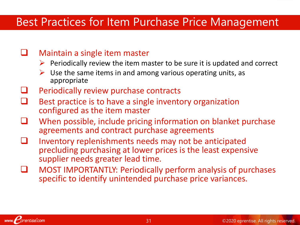### Best Practices for Item Purchase Price Management

#### ❑ Maintain a single item master

- $\triangleright$  Periodically review the item master to be sure it is updated and correct
- $\triangleright$  Use the same items in and among various operating units, as appropriate
- Periodically review purchase contracts
- Best practice is to have a single inventory organization configured as the item master
- When possible, include pricing information on blanket purchase agreements and contract purchase agreements
- ❑ Inventory replenishments needs may not be anticipated precluding purchasing at lower prices is the least expensive supplier needs greater lead time.
- ❑ MOST IMPORTANTLY: Periodically perform analysis of purchases specific to identify unintended purchase price variances.

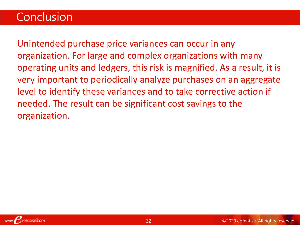### **Conclusion**

Unintended purchase price variances can occur in any organization. For large and complex organizations with many operating units and ledgers, this risk is magnified. As a result, it is very important to periodically analyze purchases on an aggregate level to identify these variances and to take corrective action if needed. The result can be significant cost savings to the organization.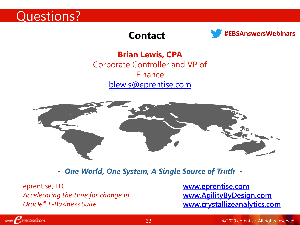

#### **Contact**



**#EBSAnswersWebinars**

**Brian Lewis, CPA** Corporate Controller and VP of Finance [blewis@eprentise.com](mailto:blewis@eprentise.com)



*- One World, One System, A Single Source of Truth -*

eprentise, LLC *Accelerating the time for change in Oracle® E-Business Suite*

www. *prentise.com* 

**[www.eprentise.com](http://www.eprentise.com/) [www.AgilityByDesign.com](http://www.agilitybydesign.com/) [www.crystallizeanalytics.com](http://www.crystallizeanalytics.com/)**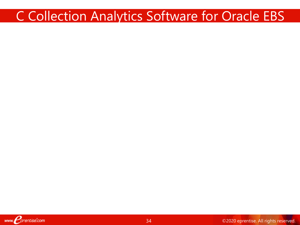## C Collection Analytics Software for Oracle EBS